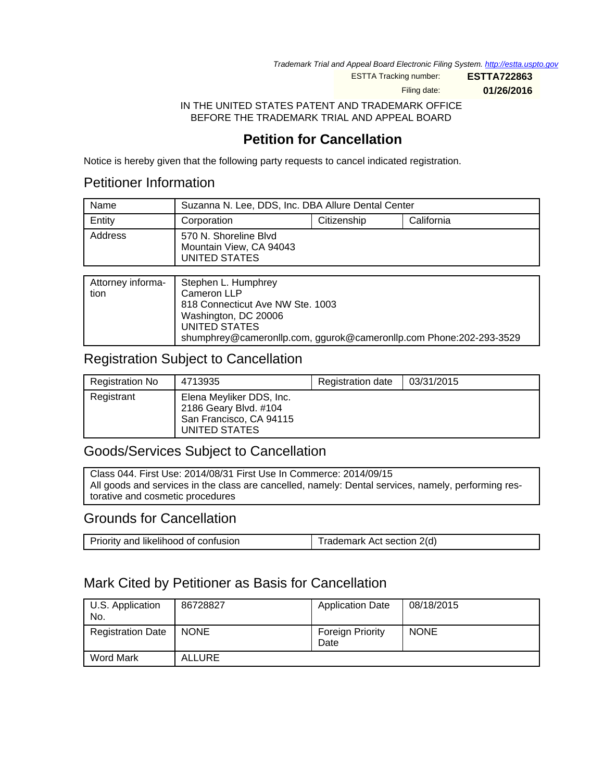Trademark Trial and Appeal Board Electronic Filing System. <http://estta.uspto.gov>

ESTTA Tracking number: **ESTTA722863**

Filing date: **01/26/2016**

IN THE UNITED STATES PATENT AND TRADEMARK OFFICE BEFORE THE TRADEMARK TRIAL AND APPEAL BOARD

# **Petition for Cancellation**

Notice is hereby given that the following party requests to cancel indicated registration.

### Petitioner Information

| Name    | Suzanna N. Lee, DDS, Inc. DBA Allure Dental Center                |  |  |
|---------|-------------------------------------------------------------------|--|--|
| Entity  | Citizenship<br>California<br>Corporation                          |  |  |
| Address | 570 N. Shoreline Blvd<br>Mountain View, CA 94043<br>UNITED STATES |  |  |

| Attorney informa-<br>tion | Stephen L. Humphrey<br>Cameron LLP<br>818 Connecticut Ave NW Ste. 1003<br>Washington, DC 20006<br>UNITED STATES |
|---------------------------|-----------------------------------------------------------------------------------------------------------------|
|                           | shumphrey@cameronllp.com, ggurok@cameronllp.com Phone:202-293-3529                                              |

### Registration Subject to Cancellation

| <b>Registration No</b> | 4713935                                                                                       | Registration date | 03/31/2015 |
|------------------------|-----------------------------------------------------------------------------------------------|-------------------|------------|
| Registrant             | Elena Meyliker DDS, Inc.<br>2186 Geary Blvd. #104<br>San Francisco, CA 94115<br>UNITED STATES |                   |            |

## Goods/Services Subject to Cancellation

Class 044. First Use: 2014/08/31 First Use In Commerce: 2014/09/15 All goods and services in the class are cancelled, namely: Dental services, namely, performing restorative and cosmetic procedures

### Grounds for Cancellation

| Priority and likelihood of confusion | Trademark Act section 2(d) |
|--------------------------------------|----------------------------|
|--------------------------------------|----------------------------|

## Mark Cited by Petitioner as Basis for Cancellation

| U.S. Application<br>No.  | 86728827      | <b>Application Date</b>         | 08/18/2015  |
|--------------------------|---------------|---------------------------------|-------------|
| <b>Registration Date</b> | <b>NONE</b>   | <b>Foreign Priority</b><br>Date | <b>NONE</b> |
| <b>Word Mark</b>         | <b>ALLURE</b> |                                 |             |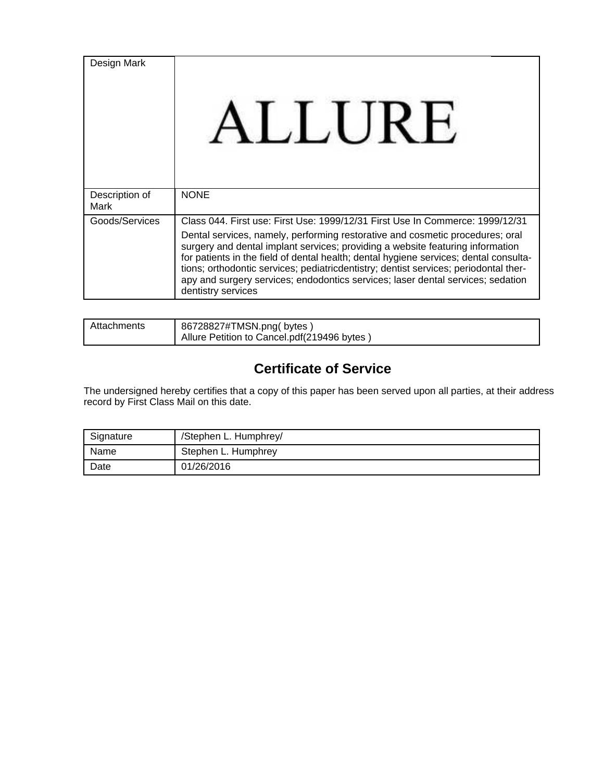| Design Mark            | LLURE                                                                                                                                                                                                                                                                                                                                                                                                                                                                                                                                      |
|------------------------|--------------------------------------------------------------------------------------------------------------------------------------------------------------------------------------------------------------------------------------------------------------------------------------------------------------------------------------------------------------------------------------------------------------------------------------------------------------------------------------------------------------------------------------------|
| Description of<br>Mark | <b>NONE</b>                                                                                                                                                                                                                                                                                                                                                                                                                                                                                                                                |
| Goods/Services         | Class 044, First use: First Use: 1999/12/31 First Use In Commerce: 1999/12/31<br>Dental services, namely, performing restorative and cosmetic procedures; oral<br>surgery and dental implant services; providing a website featuring information<br>for patients in the field of dental health; dental hygiene services; dental consulta-<br>tions; orthodontic services; pediatricdentistry; dentist services; periodontal ther-<br>apy and surgery services; endodontics services; laser dental services; sedation<br>dentistry services |

| Attachments | 86728827#TMSN.png(bytes)<br>Allure Petition to Cancel.pdf(219496 bytes) |
|-------------|-------------------------------------------------------------------------|
|-------------|-------------------------------------------------------------------------|

# **Certificate of Service**

The undersigned hereby certifies that a copy of this paper has been served upon all parties, at their address record by First Class Mail on this date.

| Signature | /Stephen L. Humphrey/ |
|-----------|-----------------------|
| Name      | Stephen L. Humphrey   |
| Date      | 01/26/2016            |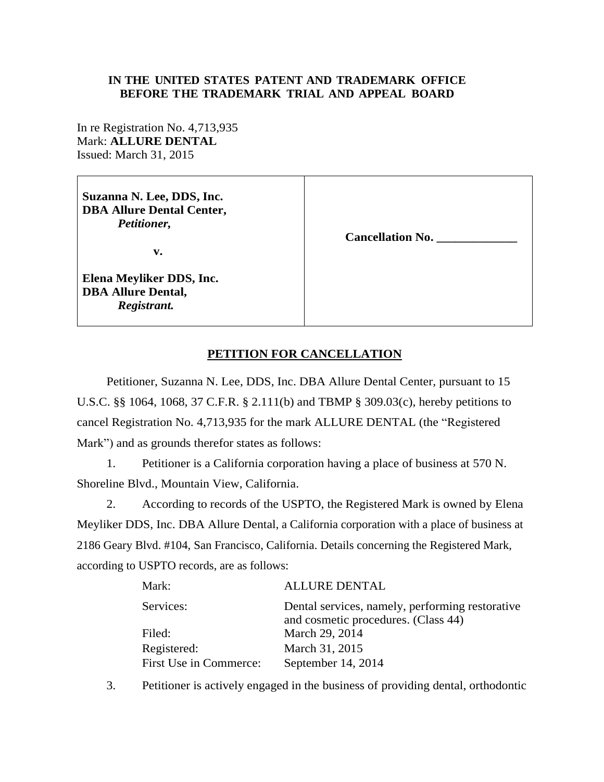#### **IN THE UNITED STATES PATENT AND TRADEMARK OFFICE BEFORE THE TRADEMARK TRIAL AND APPEAL BOARD**

In re Registration No. 4,713,935 Mark: **ALLURE DENTAL** Issued: March 31, 2015

**Suzanna N. Lee, DDS, Inc. DBA Allure Dental Center,**  *Petitioner,* 

**v.**

**Elena Meyliker DDS, Inc. DBA Allure Dental,**  *Registrant.* 

**Cancellation No. \_\_\_\_\_\_\_\_\_\_\_\_\_** 

### **PETITION FOR CANCELLATION**

Petitioner, Suzanna N. Lee, DDS, Inc. DBA Allure Dental Center, pursuant to 15 U.S.C. §§ 1064, 1068, 37 C.F.R. § 2.111(b) and TBMP § 309.03(c), hereby petitions to cancel Registration No. 4,713,935 for the mark ALLURE DENTAL (the "Registered Mark") and as grounds therefor states as follows:

1. Petitioner is a California corporation having a place of business at 570 N. Shoreline Blvd., Mountain View, California.

2. According to records of the USPTO, the Registered Mark is owned by Elena Meyliker DDS, Inc. DBA Allure Dental, a California corporation with a place of business at 2186 Geary Blvd. #104, San Francisco, California. Details concerning the Registered Mark, according to USPTO records, are as follows:

| Mark:                  | <b>ALLURE DENTAL</b>                                                                   |
|------------------------|----------------------------------------------------------------------------------------|
| Services:              | Dental services, namely, performing restorative<br>and cosmetic procedures. (Class 44) |
| Filed:                 | March 29, 2014                                                                         |
| Registered:            | March 31, 2015                                                                         |
| First Use in Commerce: | September 14, 2014                                                                     |

3. Petitioner is actively engaged in the business of providing dental, orthodontic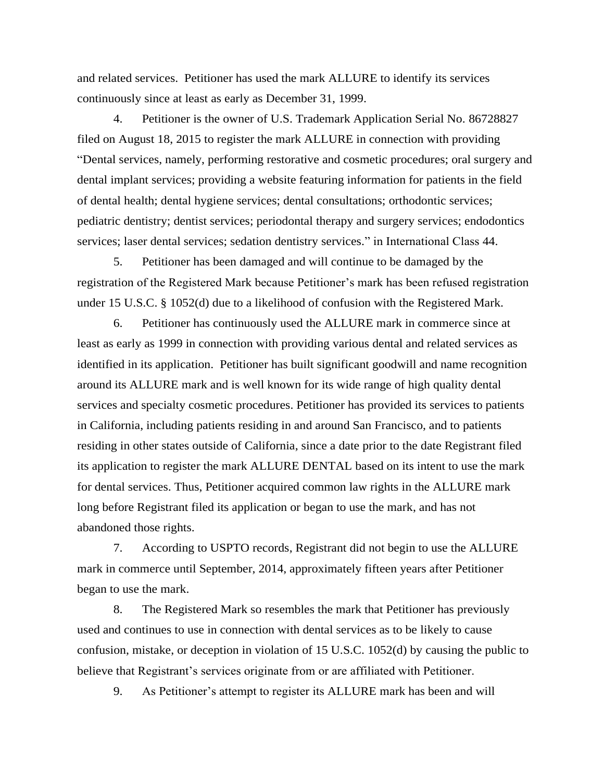and related services. Petitioner has used the mark ALLURE to identify its services continuously since at least as early as December 31, 1999.

4. Petitioner is the owner of U.S. Trademark Application Serial No. 86728827 filed on August 18, 2015 to register the mark ALLURE in connection with providing "Dental services, namely, performing restorative and cosmetic procedures; oral surgery and dental implant services; providing a website featuring information for patients in the field of dental health; dental hygiene services; dental consultations; orthodontic services; pediatric dentistry; dentist services; periodontal therapy and surgery services; endodontics services; laser dental services; sedation dentistry services." in International Class 44.

5. Petitioner has been damaged and will continue to be damaged by the registration of the Registered Mark because Petitioner's mark has been refused registration under 15 U.S.C. § 1052(d) due to a likelihood of confusion with the Registered Mark.

6. Petitioner has continuously used the ALLURE mark in commerce since at least as early as 1999 in connection with providing various dental and related services as identified in its application. Petitioner has built significant goodwill and name recognition around its ALLURE mark and is well known for its wide range of high quality dental services and specialty cosmetic procedures. Petitioner has provided its services to patients in California, including patients residing in and around San Francisco, and to patients residing in other states outside of California, since a date prior to the date Registrant filed its application to register the mark ALLURE DENTAL based on its intent to use the mark for dental services. Thus, Petitioner acquired common law rights in the ALLURE mark long before Registrant filed its application or began to use the mark, and has not abandoned those rights.

7. According to USPTO records, Registrant did not begin to use the ALLURE mark in commerce until September, 2014, approximately fifteen years after Petitioner began to use the mark.

8. The Registered Mark so resembles the mark that Petitioner has previously used and continues to use in connection with dental services as to be likely to cause confusion, mistake, or deception in violation of 15 U.S.C. 1052(d) by causing the public to believe that Registrant's services originate from or are affiliated with Petitioner.

9. As Petitioner's attempt to register its ALLURE mark has been and will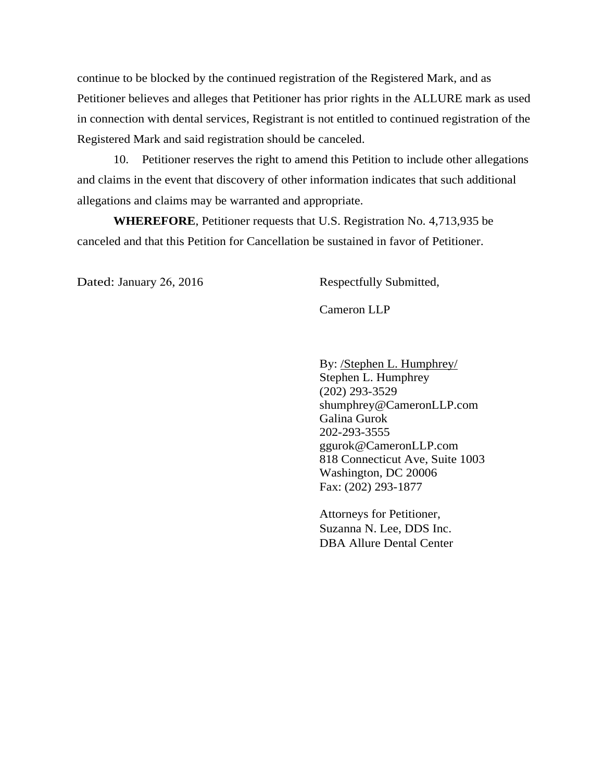continue to be blocked by the continued registration of the Registered Mark, and as Petitioner believes and alleges that Petitioner has prior rights in the ALLURE mark as used in connection with dental services, Registrant is not entitled to continued registration of the Registered Mark and said registration should be canceled.

10. Petitioner reserves the right to amend this Petition to include other allegations and claims in the event that discovery of other information indicates that such additional allegations and claims may be warranted and appropriate.

**WHEREFORE**, Petitioner requests that U.S. Registration No. 4,713,935 be canceled and that this Petition for Cancellation be sustained in favor of Petitioner.

Dated: January 26, 2016 Respectfully Submitted,

Cameron LLP

By: /Stephen L. Humphrey/ Stephen L. Humphrey (202) 293-3529 shumphrey@CameronLLP.com Galina Gurok 202-293-3555 [ggurok@](mailto:rea@taylorrealaw.com)CameronLLP.com 818 Connecticut Ave, Suite 1003 Washington, DC 20006 Fax: (202) 293-1877

Attorneys for Petitioner, Suzanna N. Lee, DDS Inc. DBA Allure Dental Center